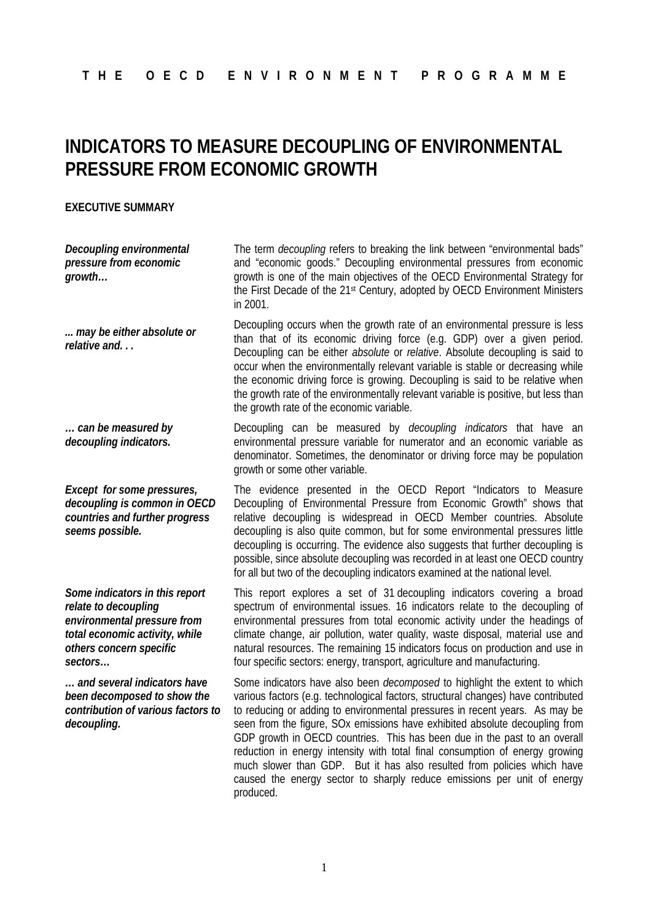## **INDICATORS TO MEASURE DECOUPLING OF ENVIRONMENTAL PRESSURE FROM ECONOMIC GROWTH**

## **EXECUTIVE SUMMARY**

*Decoupling environmental pressure from economic growth…*

*... may be either absolute or relative and. . .*

*… can be measured by decoupling indicators.*

*Except for some pressures, decoupling is common in OECD countries and further progress seems possible.*

*Some indicators in this report relate to decoupling environmental pressure from total economic activity, while others concern specific sectors…*

*… and several indicators have been decomposed to show the contribution of various factors to decoupling.*

The term *decoupling* refers to breaking the link between "environmental bads" and "economic goods." Decoupling environmental pressures from economic growth is one of the main objectives of the OECD Environmental Strategy for the First Decade of the 21<sup>st</sup> Century, adopted by OECD Environment Ministers in 2001.

Decoupling occurs when the growth rate of an environmental pressure is less than that of its economic driving force (e.g. GDP) over a given period. Decoupling can be either *absolute* or *relative*. Absolute decoupling is said to occur when the environmentally relevant variable is stable or decreasing while the economic driving force is growing. Decoupling is said to be relative when the growth rate of the environmentally relevant variable is positive, but less than the growth rate of the economic variable.

Decoupling can be measured by *decoupling indicators* that have an environmental pressure variable for numerator and an economic variable as denominator. Sometimes, the denominator or driving force may be population growth or some other variable.

The evidence presented in the OECD Report "Indicators to Measure Decoupling of Environmental Pressure from Economic Growth" shows that relative decoupling is widespread in OECD Member countries. Absolute decoupling is also quite common, but for some environmental pressures little decoupling is occurring. The evidence also suggests that further decoupling is possible, since absolute decoupling was recorded in at least one OECD country for all but two of the decoupling indicators examined at the national level.

This report explores a set of 31 decoupling indicators covering a broad spectrum of environmental issues. 16 indicators relate to the decoupling of environmental pressures from total economic activity under the headings of climate change, air pollution, water quality, waste disposal, material use and natural resources. The remaining 15 indicators focus on production and use in four specific sectors: energy, transport, agriculture and manufacturing.

Some indicators have also been *decomposed* to highlight the extent to which various factors (e.g. technological factors, structural changes) have contributed to reducing or adding to environmental pressures in recent years. As may be seen from the figure, SOx emissions have exhibited absolute decoupling from GDP growth in OECD countries. This has been due in the past to an overall reduction in energy intensity with total final consumption of energy growing much slower than GDP. But it has also resulted from policies which have caused the energy sector to sharply reduce emissions per unit of energy produced.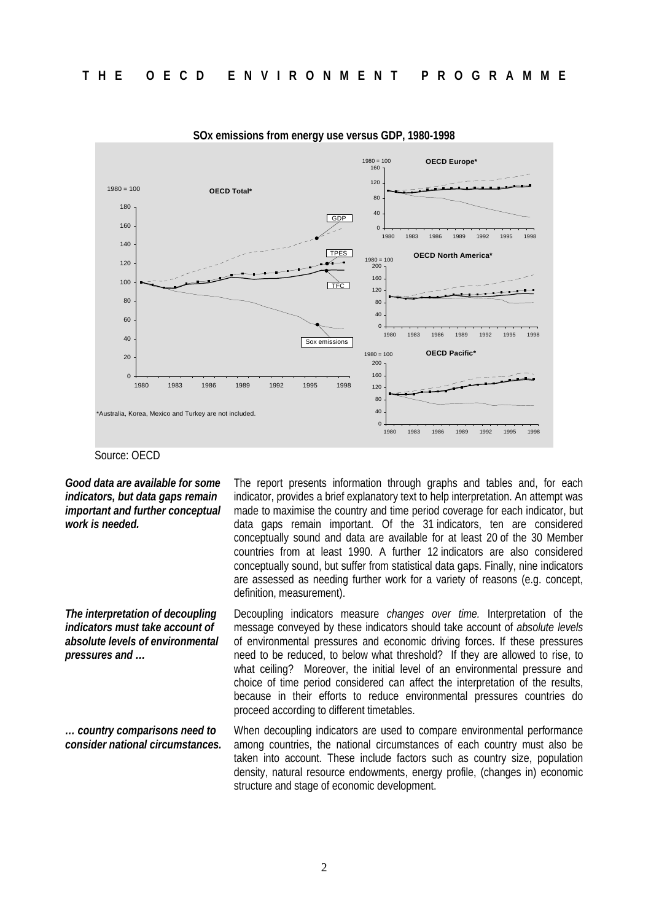

**SOx emissions from energy use versus GDP, 1980-1998**

## Source: OECD

*Good data are available for some indicators, but data gaps remain important and further conceptual work is needed.*

*The interpretation of decoupling indicators must take account of absolute levels of environmental pressures and …*

*… country comparisons need to consider national circumstances.* The report presents information through graphs and tables and, for each indicator, provides a brief explanatory text to help interpretation. An attempt was made to maximise the country and time period coverage for each indicator, but data gaps remain important. Of the 31 indicators, ten are considered conceptually sound and data are available for at least 20 of the 30 Member countries from at least 1990. A further 12 indicators are also considered conceptually sound, but suffer from statistical data gaps. Finally, nine indicators are assessed as needing further work for a variety of reasons (e.g. concept, definition, measurement).

Decoupling indicators measure *changes over time.* Interpretation of the message conveyed by these indicators should take account of *absolute levels* of environmental pressures and economic driving forces. If these pressures need to be reduced, to below what threshold? If they are allowed to rise, to what ceiling? Moreover, the initial level of an environmental pressure and choice of time period considered can affect the interpretation of the results, because in their efforts to reduce environmental pressures countries do proceed according to different timetables.

When decoupling indicators are used to compare environmental performance among countries, the national circumstances of each country must also be taken into account. These include factors such as country size, population density, natural resource endowments, energy profile, (changes in) economic structure and stage of economic development.